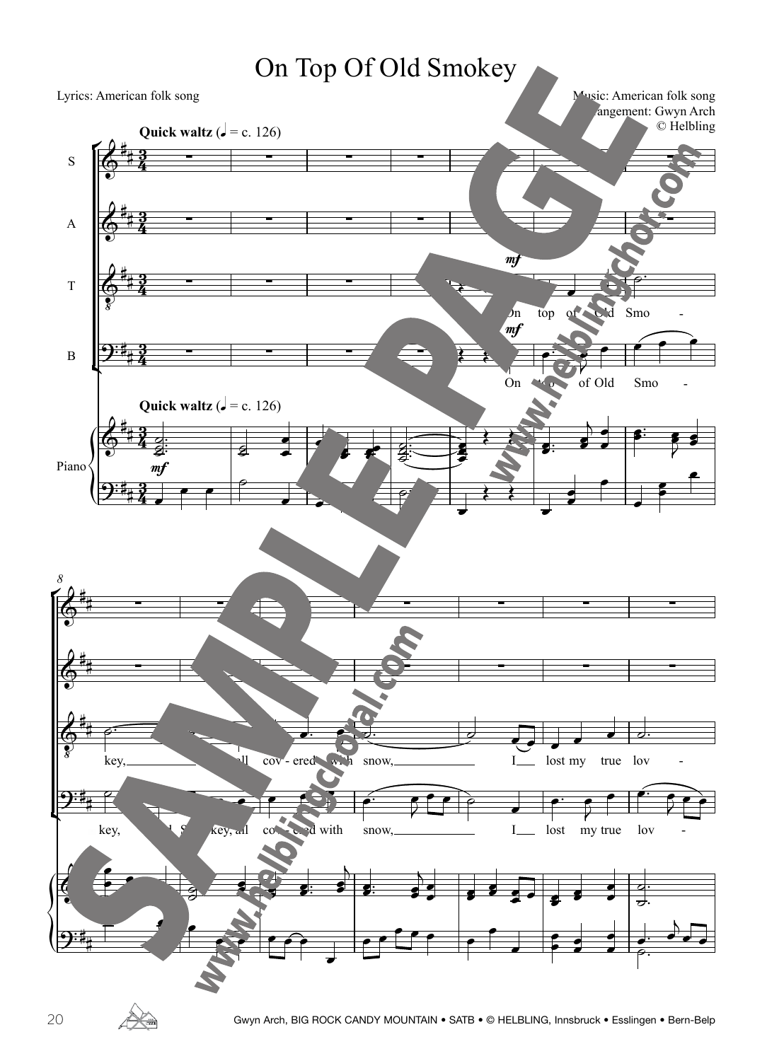## On Top Of Old Smokey

Lyrics: American folk song

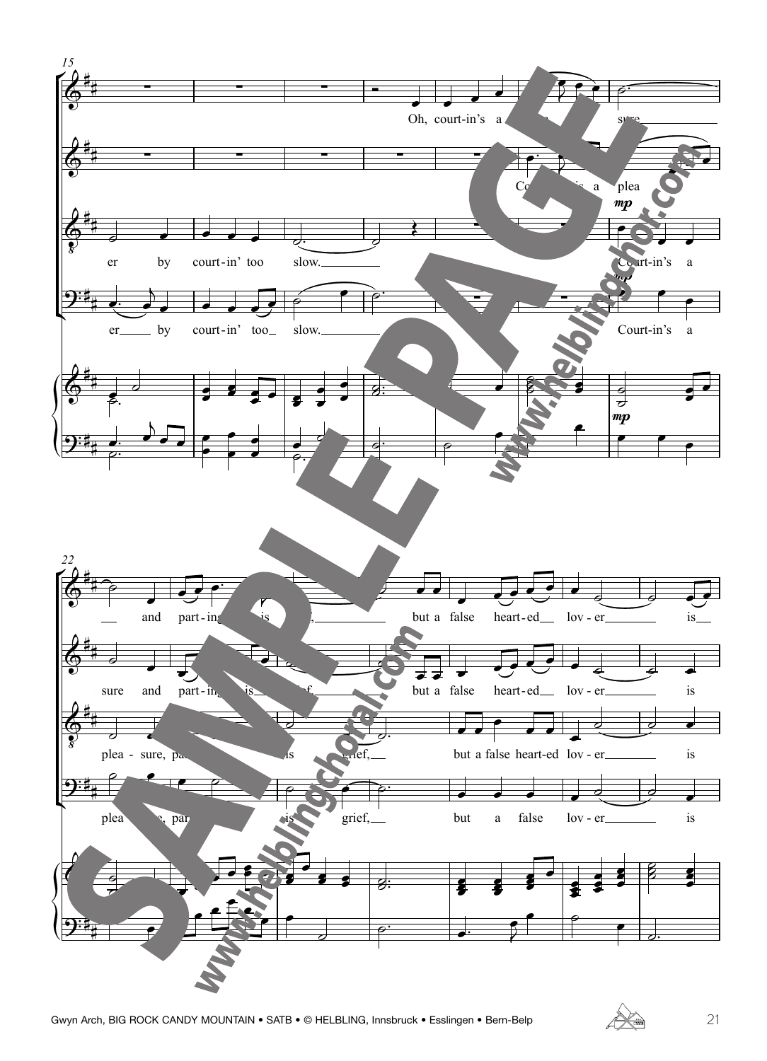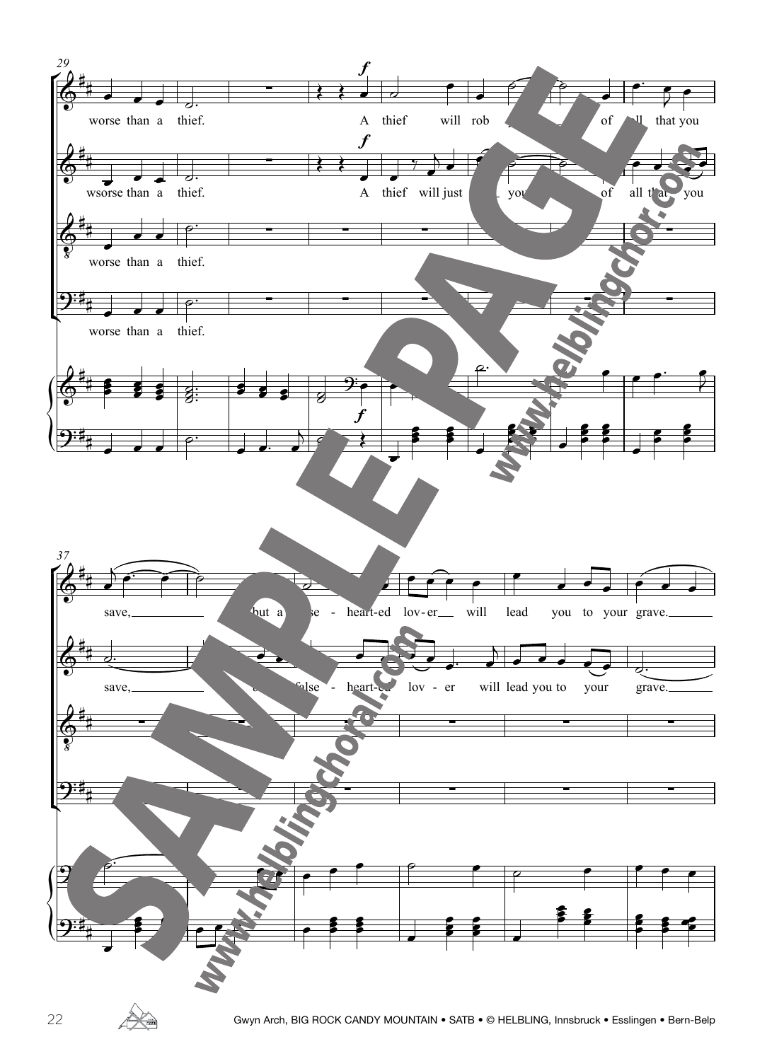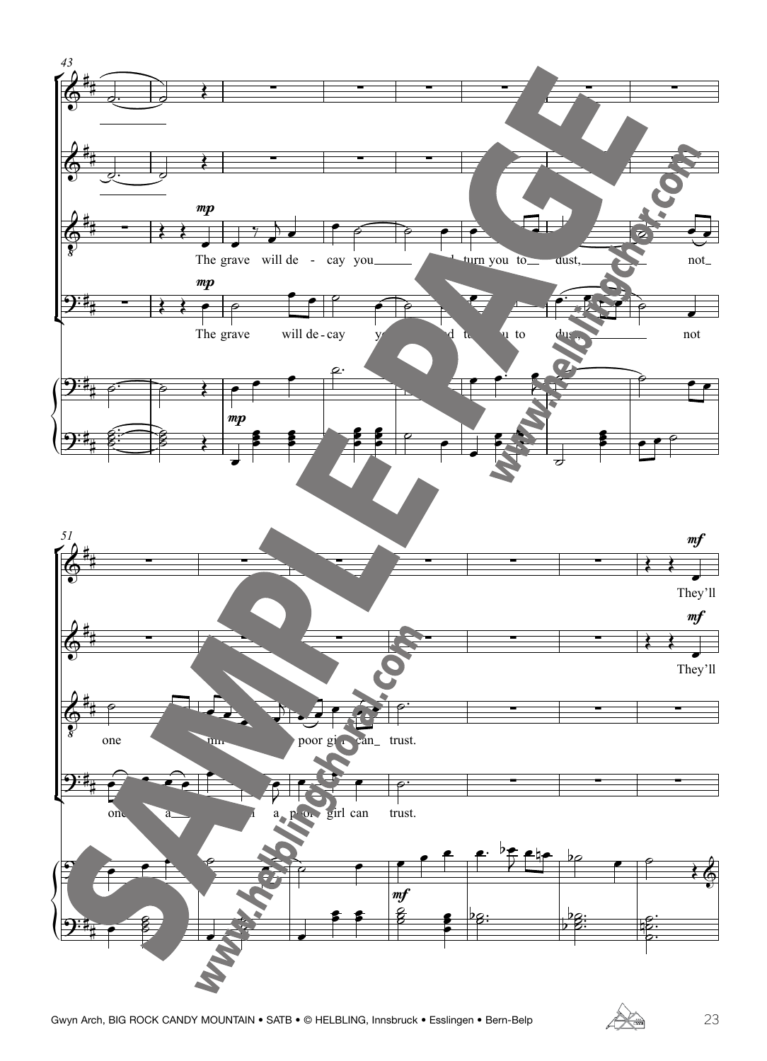

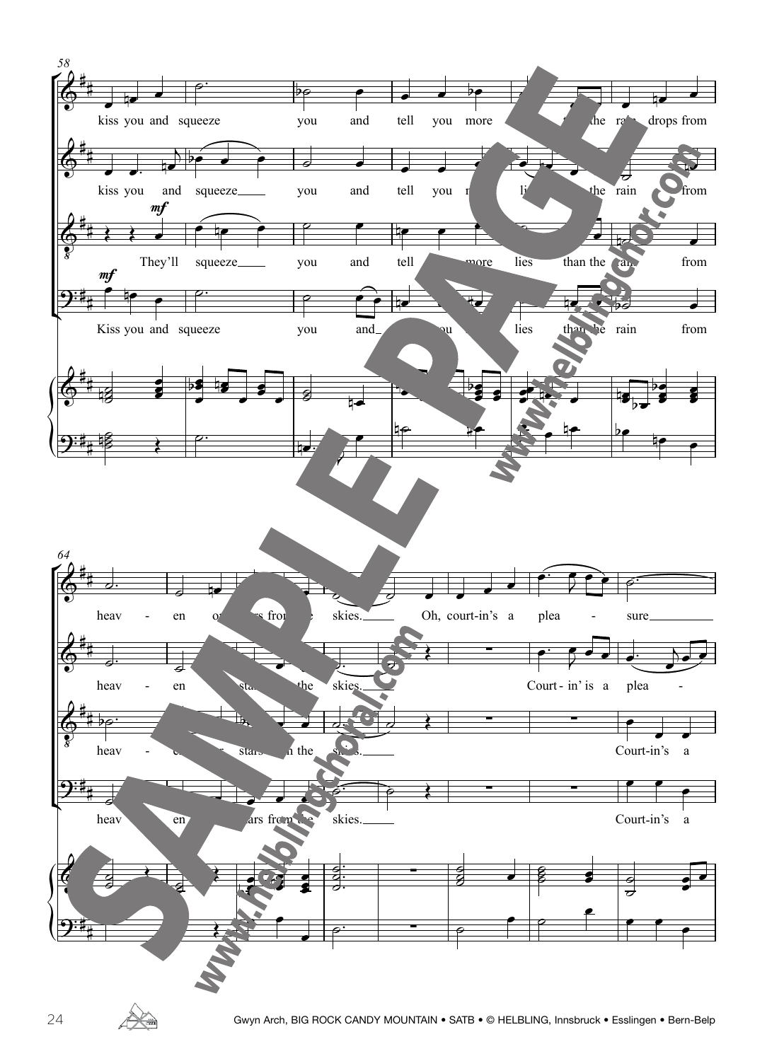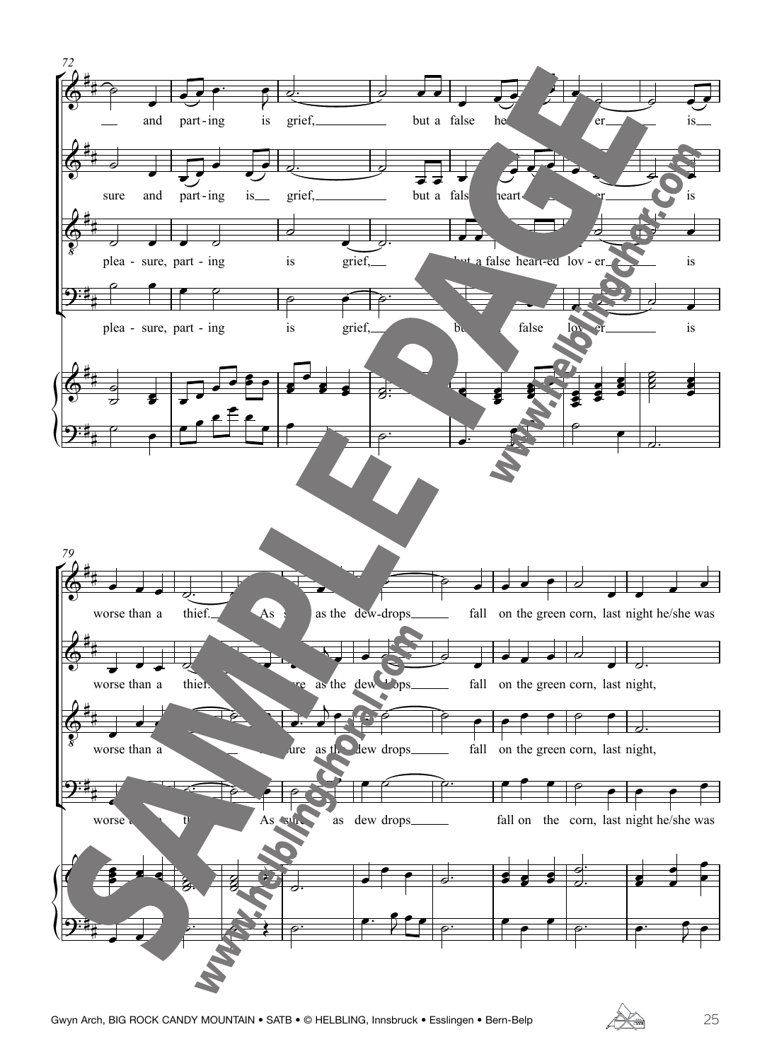